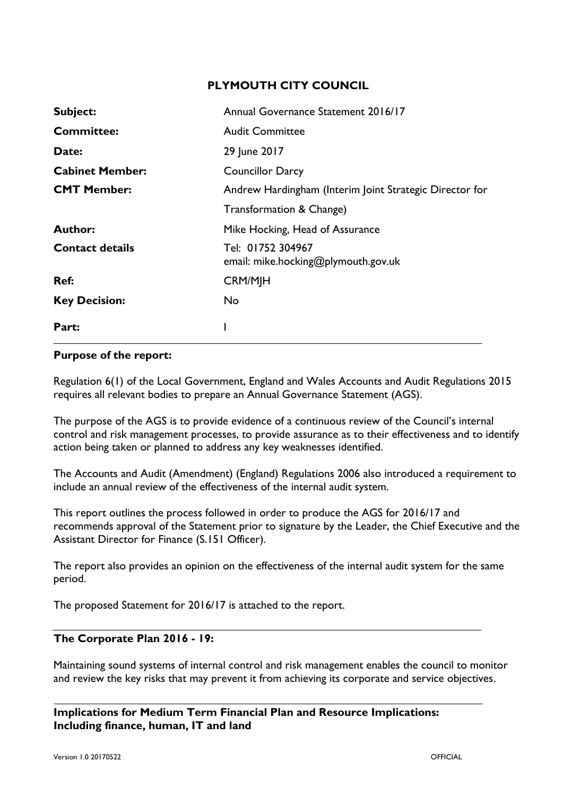## **PLYMOUTH CITY COUNCIL**

| Subject:               | Annual Governance Statement 2016/17                      |
|------------------------|----------------------------------------------------------|
| <b>Committee:</b>      | <b>Audit Committee</b>                                   |
| Date:                  | 29 June 2017                                             |
| <b>Cabinet Member:</b> | <b>Councillor Darcy</b>                                  |
| <b>CMT Member:</b>     | Andrew Hardingham (Interim Joint Strategic Director for  |
|                        | Transformation & Change)                                 |
| <b>Author:</b>         | Mike Hocking, Head of Assurance                          |
| <b>Contact details</b> | Tel: 01752 304967<br>email: mike.hocking@plymouth.gov.uk |
| Ref:                   | <b>CRM/MJH</b>                                           |
| <b>Key Decision:</b>   | No.                                                      |
| Part:                  |                                                          |

#### **Purpose of the report:**

Regulation 6(1) of the Local Government, England and Wales Accounts and Audit Regulations 2015 requires all relevant bodies to prepare an Annual Governance Statement (AGS).

The purpose of the AGS is to provide evidence of a continuous review of the Council's internal control and risk management processes, to provide assurance as to their effectiveness and to identify action being taken or planned to address any key weaknesses identified.

The Accounts and Audit (Amendment) (England) Regulations 2006 also introduced a requirement to include an annual review of the effectiveness of the internal audit system.

This report outlines the process followed in order to produce the AGS for 2016/17 and recommends approval of the Statement prior to signature by the Leader, the Chief Executive and the Assistant Director for Finance (S.151 Officer).

The report also provides an opinion on the effectiveness of the internal audit system for the same period.

The proposed Statement for 2016/17 is attached to the report.

## **The Corporate Plan 2016 - 19:**

Maintaining sound systems of internal control and risk management enables the council to monitor and review the key risks that may prevent it from achieving its corporate and service objectives.

**Implications for Medium Term Financial Plan and Resource Implications: Including finance, human, IT and land**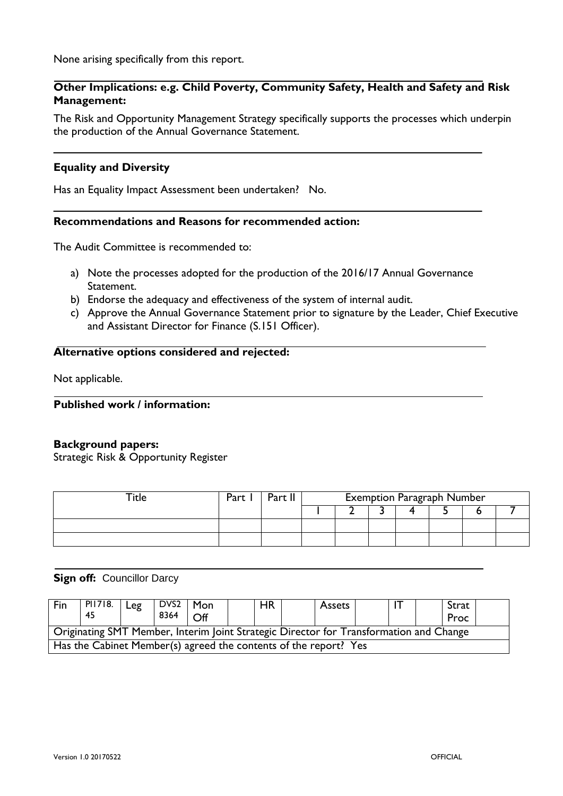None arising specifically from this report.

## **Other Implications: e.g. Child Poverty, Community Safety, Health and Safety and Risk Management:**

The Risk and Opportunity Management Strategy specifically supports the processes which underpin the production of the Annual Governance Statement.

#### **Equality and Diversity**

Has an Equality Impact Assessment been undertaken? No.

#### **Recommendations and Reasons for recommended action:**

The Audit Committee is recommended to:

- a) Note the processes adopted for the production of the 2016/17 Annual Governance Statement.
- b) Endorse the adequacy and effectiveness of the system of internal audit.
- c) Approve the Annual Governance Statement prior to signature by the Leader, Chief Executive and Assistant Director for Finance (S.151 Officer).

#### **Alternative options considered and rejected:**

Not applicable.

**Published work / information:**

#### **Background papers:**

Strategic Risk & Opportunity Register

| Part | Part I | <b>Exemption Paragraph Number</b> |  |  |  |  |  |  |  |  |  |  |  |
|------|--------|-----------------------------------|--|--|--|--|--|--|--|--|--|--|--|
|      |        |                                   |  |  |  |  |  |  |  |  |  |  |  |
|      |        |                                   |  |  |  |  |  |  |  |  |  |  |  |
|      |        |                                   |  |  |  |  |  |  |  |  |  |  |  |

#### **Sign off: Councillor Darcy**

| Fin                                                                                    | PI1718.<br>45 | Leg | $DVS2$   Mon<br>8364 | $\bigcap_{i=1}^{n}$ |  | <b>HR</b> |  | Assets |  |  |  | Strat<br>Proc |  |
|----------------------------------------------------------------------------------------|---------------|-----|----------------------|---------------------|--|-----------|--|--------|--|--|--|---------------|--|
| Originating SMT Member, Interim Joint Strategic Director for Transformation and Change |               |     |                      |                     |  |           |  |        |  |  |  |               |  |
| Has the Cabinet Member(s) agreed the contents of the report? Yes                       |               |     |                      |                     |  |           |  |        |  |  |  |               |  |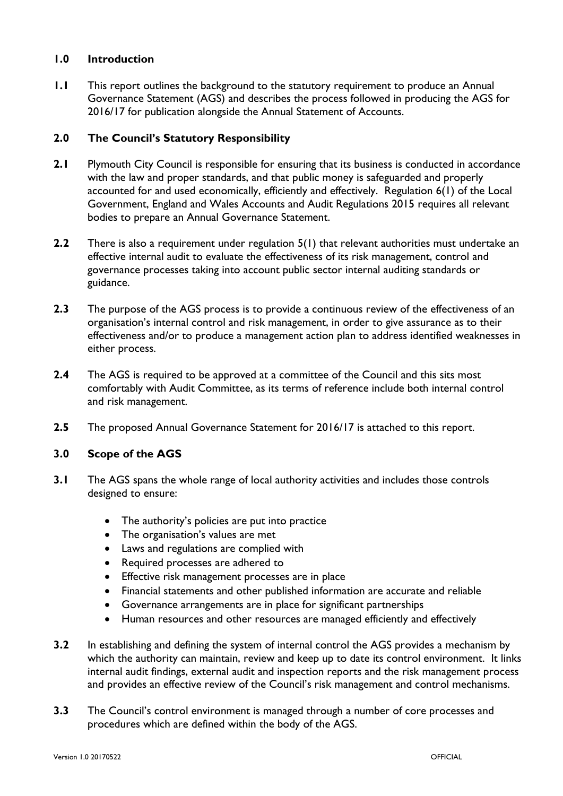## **1.0 Introduction**

**1.1** This report outlines the background to the statutory requirement to produce an Annual Governance Statement (AGS) and describes the process followed in producing the AGS for 2016/17 for publication alongside the Annual Statement of Accounts.

## **2.0 The Council's Statutory Responsibility**

- **2.1** Plymouth City Council is responsible for ensuring that its business is conducted in accordance with the law and proper standards, and that public money is safeguarded and properly accounted for and used economically, efficiently and effectively. Regulation 6(1) of the Local Government, England and Wales Accounts and Audit Regulations 2015 requires all relevant bodies to prepare an Annual Governance Statement.
- **2.2** There is also a requirement under regulation 5(1) that relevant authorities must undertake an effective internal audit to evaluate the effectiveness of its risk management, control and governance processes taking into account public sector internal auditing standards or guidance.
- **2.3** The purpose of the AGS process is to provide a continuous review of the effectiveness of an organisation's internal control and risk management, in order to give assurance as to their effectiveness and/or to produce a management action plan to address identified weaknesses in either process.
- **2.4** The AGS is required to be approved at a committee of the Council and this sits most comfortably with Audit Committee, as its terms of reference include both internal control and risk management.
- **2.5** The proposed Annual Governance Statement for 2016/17 is attached to this report.

## **3.0 Scope of the AGS**

- **3.1** The AGS spans the whole range of local authority activities and includes those controls designed to ensure:
	- The authority's policies are put into practice
	- The organisation's values are met
	- Laws and regulations are complied with
	- Required processes are adhered to
	- Effective risk management processes are in place
	- Financial statements and other published information are accurate and reliable
	- Governance arrangements are in place for significant partnerships
	- Human resources and other resources are managed efficiently and effectively
- **3.2** In establishing and defining the system of internal control the AGS provides a mechanism by which the authority can maintain, review and keep up to date its control environment. It links internal audit findings, external audit and inspection reports and the risk management process and provides an effective review of the Council's risk management and control mechanisms.
- **3.3** The Council's control environment is managed through a number of core processes and procedures which are defined within the body of the AGS.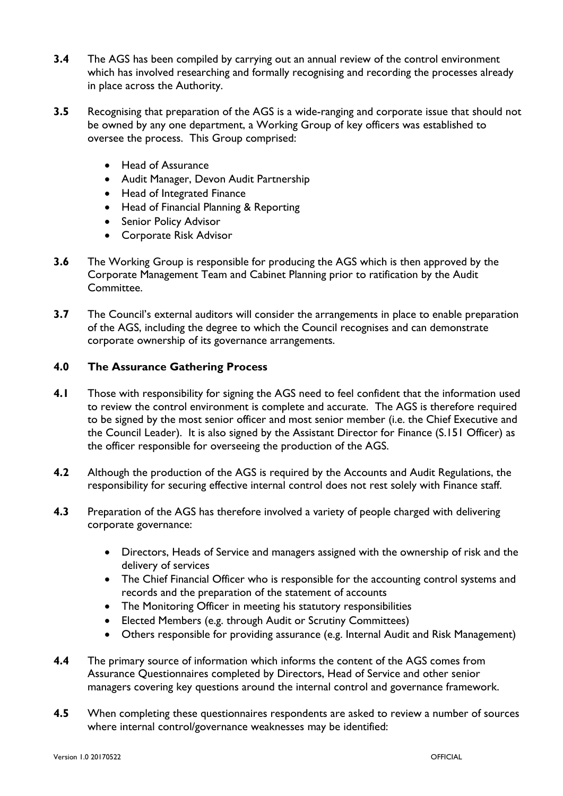- **3.4** The AGS has been compiled by carrying out an annual review of the control environment which has involved researching and formally recognising and recording the processes already in place across the Authority.
- **3.5** Recognising that preparation of the AGS is a wide-ranging and corporate issue that should not be owned by any one department, a Working Group of key officers was established to oversee the process. This Group comprised:
	- Head of Assurance
	- Audit Manager, Devon Audit Partnership
	- Head of Integrated Finance
	- Head of Financial Planning & Reporting
	- Senior Policy Advisor
	- Corporate Risk Advisor
- **3.6** The Working Group is responsible for producing the AGS which is then approved by the Corporate Management Team and Cabinet Planning prior to ratification by the Audit Committee.
- **3.7** The Council's external auditors will consider the arrangements in place to enable preparation of the AGS, including the degree to which the Council recognises and can demonstrate corporate ownership of its governance arrangements.

## **4.0 The Assurance Gathering Process**

- **4.1** Those with responsibility for signing the AGS need to feel confident that the information used to review the control environment is complete and accurate. The AGS is therefore required to be signed by the most senior officer and most senior member (i.e. the Chief Executive and the Council Leader). It is also signed by the Assistant Director for Finance (S.151 Officer) as the officer responsible for overseeing the production of the AGS.
- **4.2** Although the production of the AGS is required by the Accounts and Audit Regulations, the responsibility for securing effective internal control does not rest solely with Finance staff.
- **4.3** Preparation of the AGS has therefore involved a variety of people charged with delivering corporate governance:
	- Directors, Heads of Service and managers assigned with the ownership of risk and the delivery of services
	- The Chief Financial Officer who is responsible for the accounting control systems and records and the preparation of the statement of accounts
	- The Monitoring Officer in meeting his statutory responsibilities
	- Elected Members (e.g. through Audit or Scrutiny Committees)
	- Others responsible for providing assurance (e.g. Internal Audit and Risk Management)
- **4.4** The primary source of information which informs the content of the AGS comes from Assurance Questionnaires completed by Directors, Head of Service and other senior managers covering key questions around the internal control and governance framework.
- **4.5** When completing these questionnaires respondents are asked to review a number of sources where internal control/governance weaknesses may be identified: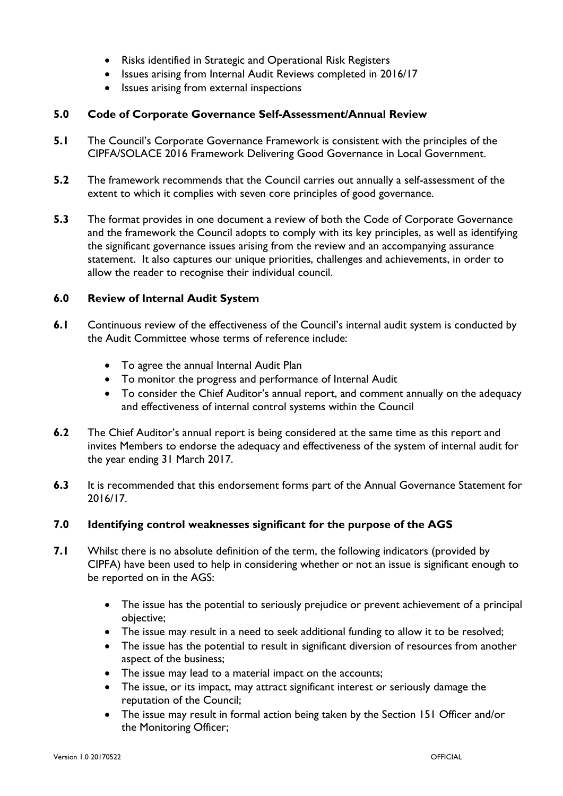- Risks identified in Strategic and Operational Risk Registers
- Issues arising from Internal Audit Reviews completed in 2016/17
- Issues arising from external inspections

## **5.0 Code of Corporate Governance Self-Assessment/Annual Review**

- **5.1** The Council's Corporate Governance Framework is consistent with the principles of the CIPFA/SOLACE 2016 Framework Delivering Good Governance in Local Government.
- **5.2** The framework recommends that the Council carries out annually a self-assessment of the extent to which it complies with seven core principles of good governance.
- **5.3** The format provides in one document a review of both the Code of Corporate Governance and the framework the Council adopts to comply with its key principles, as well as identifying the significant governance issues arising from the review and an accompanying assurance statement. It also captures our unique priorities, challenges and achievements, in order to allow the reader to recognise their individual council.

#### **6.0 Review of Internal Audit System**

- **6.1** Continuous review of the effectiveness of the Council's internal audit system is conducted by the Audit Committee whose terms of reference include:
	- To agree the annual Internal Audit Plan
	- To monitor the progress and performance of Internal Audit
	- To consider the Chief Auditor's annual report, and comment annually on the adequacy and effectiveness of internal control systems within the Council
- **6.2** The Chief Auditor's annual report is being considered at the same time as this report and invites Members to endorse the adequacy and effectiveness of the system of internal audit for the year ending 31 March 2017.
- **6.3** It is recommended that this endorsement forms part of the Annual Governance Statement for 2016/17.

#### **7.0 Identifying control weaknesses significant for the purpose of the AGS**

- **7.1** Whilst there is no absolute definition of the term, the following indicators (provided by CIPFA) have been used to help in considering whether or not an issue is significant enough to be reported on in the AGS:
	- The issue has the potential to seriously prejudice or prevent achievement of a principal objective;
	- The issue may result in a need to seek additional funding to allow it to be resolved;
	- The issue has the potential to result in significant diversion of resources from another aspect of the business;
	- The issue may lead to a material impact on the accounts;
	- The issue, or its impact, may attract significant interest or seriously damage the reputation of the Council;
	- The issue may result in formal action being taken by the Section 151 Officer and/or the Monitoring Officer;